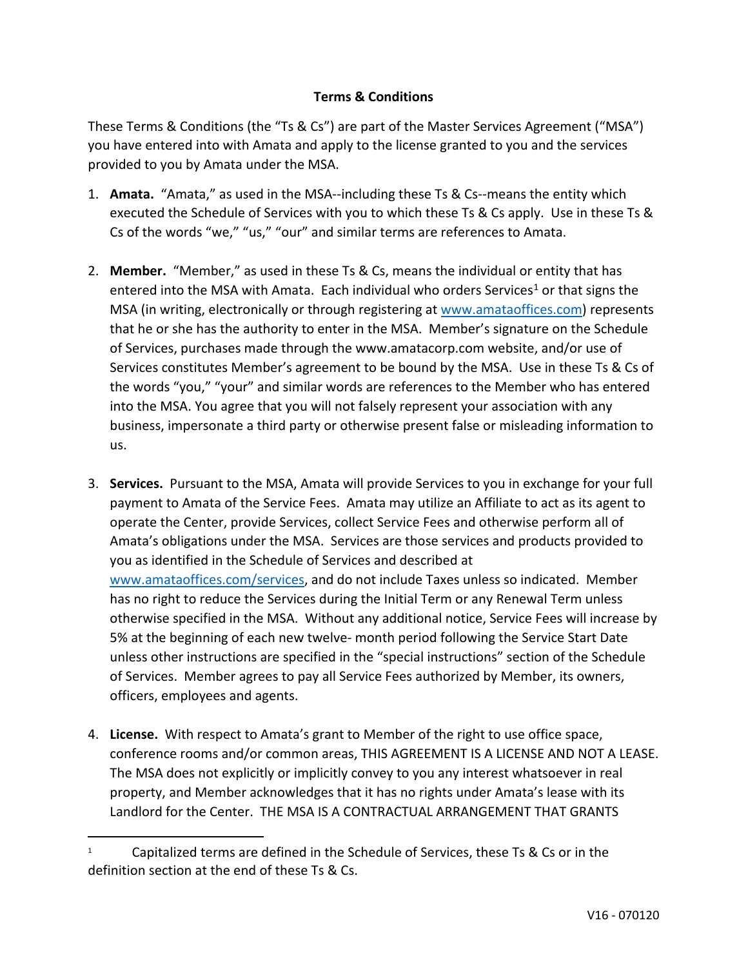## **Terms & Conditions**

These Terms & Conditions (the "Ts & Cs") are part of the Master Services Agreement ("MSA") you have entered into with Amata and apply to the license granted to you and the services provided to you by Amata under the MSA.

- 1. **Amata.** "Amata," as used in the MSA--including these Ts & Cs--means the entity which executed the Schedule of Services with you to which these Ts & Cs apply. Use in these Ts & Cs of the words "we," "us," "our" and similar terms are references to Amata.
- 2. **Member.** "Member," as used in these Ts & Cs, means the individual or entity that has entered into the MSA with Amata. Each individual who orders Services<sup>[1](#page-0-0)</sup> or that signs the MSA (in writing, electronically or through registering at [www.amataoffices.com\)](http://www.amataoffices.com/) represents that he or she has the authority to enter in the MSA. Member's signature on the Schedule of Services, purchases made through the www.amatacorp.com website, and/or use of Services constitutes Member's agreement to be bound by the MSA. Use in these Ts & Cs of the words "you," "your" and similar words are references to the Member who has entered into the MSA. You agree that you will not falsely represent your association with any business, impersonate a third party or otherwise present false or misleading information to us.
- 3. **Services.** Pursuant to the MSA, Amata will provide Services to you in exchange for your full payment to Amata of the Service Fees. Amata may utilize an Affiliate to act as its agent to operate the Center, provide Services, collect Service Fees and otherwise perform all of Amata's obligations under the MSA. Services are those services and products provided to you as identified in the Schedule of Services and described at [www.amataoffices.com/services,](http://www.amataoffices.com/services) and do not include Taxes unless so indicated. Member has no right to reduce the Services during the Initial Term or any Renewal Term unless otherwise specified in the MSA. Without any additional notice, Service Fees will increase by 5% at the beginning of each new twelve- month period following the Service Start Date unless other instructions are specified in the "special instructions" section of the Schedule of Services. Member agrees to pay all Service Fees authorized by Member, its owners, officers, employees and agents.
- 4. **License.** With respect to Amata's grant to Member of the right to use office space, conference rooms and/or common areas, THIS AGREEMENT IS A LICENSE AND NOT A LEASE. The MSA does not explicitly or implicitly convey to you any interest whatsoever in real property, and Member acknowledges that it has no rights under Amata's lease with its Landlord for the Center. THE MSA IS A CONTRACTUAL ARRANGEMENT THAT GRANTS

<span id="page-0-0"></span><sup>&</sup>lt;sup>1</sup> Capitalized terms are defined in the Schedule of Services, these Ts & Cs or in the definition section at the end of these Ts & Cs.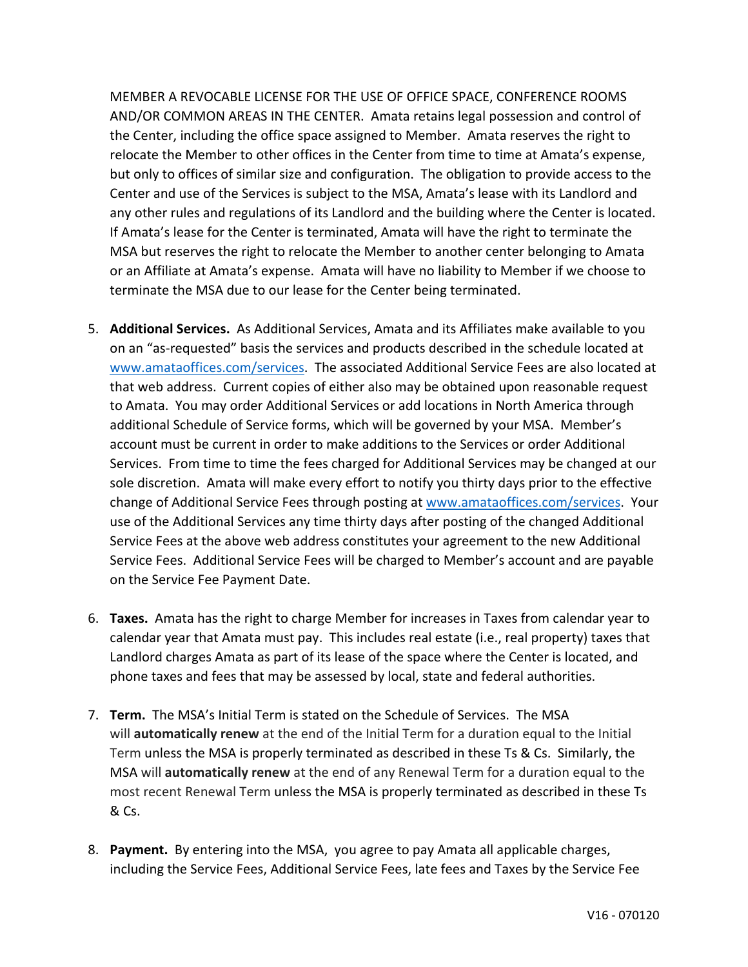MEMBER A REVOCABLE LICENSE FOR THE USE OF OFFICE SPACE, CONFERENCE ROOMS AND/OR COMMON AREAS IN THE CENTER. Amata retains legal possession and control of the Center, including the office space assigned to Member. Amata reserves the right to relocate the Member to other offices in the Center from time to time at Amata's expense, but only to offices of similar size and configuration. The obligation to provide access to the Center and use of the Services is subject to the MSA, Amata's lease with its Landlord and any other rules and regulations of its Landlord and the building where the Center is located. If Amata's lease for the Center is terminated, Amata will have the right to terminate the MSA but reserves the right to relocate the Member to another center belonging to Amata or an Affiliate at Amata's expense. Amata will have no liability to Member if we choose to terminate the MSA due to our lease for the Center being terminated.

- 5. **Additional Services.** As Additional Services, Amata and its Affiliates make available to you on an "as-requested" basis the services and products described in the schedule located at [www.amataoffices.com/services.](http://www.amataoffices.com/services) The associated Additional Service Fees are also located at that web address. Current copies of either also may be obtained upon reasonable request to Amata. You may order Additional Services or add locations in North America through additional Schedule of Service forms, which will be governed by your MSA. Member's account must be current in order to make additions to the Services or order Additional Services. From time to time the fees charged for Additional Services may be changed at our sole discretion. Amata will make every effort to notify you thirty days prior to the effective change of Additional Service Fees through posting at [www.amataoffices.com/services.](http://www.amataoffices.com/services) Your use of the Additional Services any time thirty days after posting of the changed Additional Service Fees at the above web address constitutes your agreement to the new Additional Service Fees. Additional Service Fees will be charged to Member's account and are payable on the Service Fee Payment Date.
- 6. **Taxes.** Amata has the right to charge Member for increases in Taxes from calendar year to calendar year that Amata must pay. This includes real estate (i.e., real property) taxes that Landlord charges Amata as part of its lease of the space where the Center is located, and phone taxes and fees that may be assessed by local, state and federal authorities.
- 7. **Term.** The MSA's Initial Term is stated on the Schedule of Services. The MSA will **automatically renew** at the end of the Initial Term for a duration equal to the Initial Term unless the MSA is properly terminated as described in these Ts & Cs. Similarly, the MSA will **automatically renew** at the end of any Renewal Term for a duration equal to the most recent Renewal Term unless the MSA is properly terminated as described in these Ts & Cs.
- 8. **Payment.** By entering into the MSA, you agree to pay Amata all applicable charges, including the Service Fees, Additional Service Fees, late fees and Taxes by the Service Fee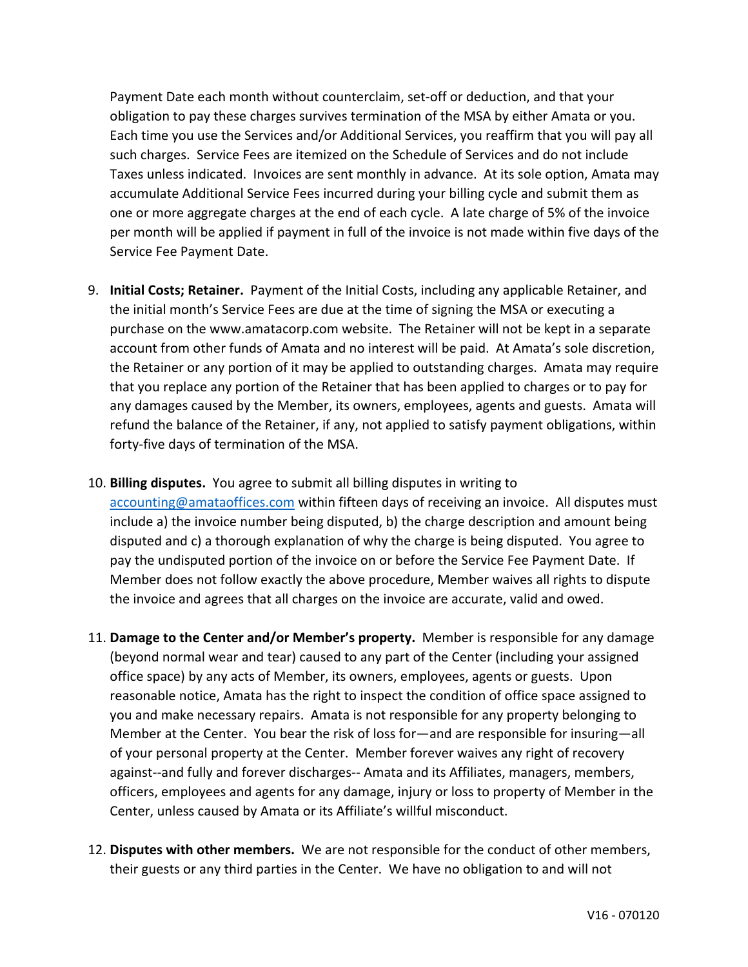Payment Date each month without counterclaim, set-off or deduction, and that your obligation to pay these charges survives termination of the MSA by either Amata or you. Each time you use the Services and/or Additional Services, you reaffirm that you will pay all such charges. Service Fees are itemized on the Schedule of Services and do not include Taxes unless indicated. Invoices are sent monthly in advance. At its sole option, Amata may accumulate Additional Service Fees incurred during your billing cycle and submit them as one or more aggregate charges at the end of each cycle. A late charge of 5% of the invoice per month will be applied if payment in full of the invoice is not made within five days of the Service Fee Payment Date.

- 9. **Initial Costs; Retainer.** Payment of the Initial Costs, including any applicable Retainer, and the initial month's Service Fees are due at the time of signing the MSA or executing a purchase on the www.amatacorp.com website. The Retainer will not be kept in a separate account from other funds of Amata and no interest will be paid. At Amata's sole discretion, the Retainer or any portion of it may be applied to outstanding charges. Amata may require that you replace any portion of the Retainer that has been applied to charges or to pay for any damages caused by the Member, its owners, employees, agents and guests. Amata will refund the balance of the Retainer, if any, not applied to satisfy payment obligations, within forty-five days of termination of the MSA.
- 10. **Billing disputes.** You agree to submit all billing disputes in writing to [accounting@amataoffices.com](mailto:accounting@amataoffices.com) within fifteen days of receiving an invoice. All disputes must include a) the invoice number being disputed, b) the charge description and amount being disputed and c) a thorough explanation of why the charge is being disputed. You agree to pay the undisputed portion of the invoice on or before the Service Fee Payment Date. If Member does not follow exactly the above procedure, Member waives all rights to dispute the invoice and agrees that all charges on the invoice are accurate, valid and owed.
- 11. **Damage to the Center and/or Member's property.** Member is responsible for any damage (beyond normal wear and tear) caused to any part of the Center (including your assigned office space) by any acts of Member, its owners, employees, agents or guests. Upon reasonable notice, Amata has the right to inspect the condition of office space assigned to you and make necessary repairs. Amata is not responsible for any property belonging to Member at the Center. You bear the risk of loss for—and are responsible for insuring—all of your personal property at the Center. Member forever waives any right of recovery against--and fully and forever discharges-- Amata and its Affiliates, managers, members, officers, employees and agents for any damage, injury or loss to property of Member in the Center, unless caused by Amata or its Affiliate's willful misconduct.
- 12. **Disputes with other members.** We are not responsible for the conduct of other members, their guests or any third parties in the Center. We have no obligation to and will not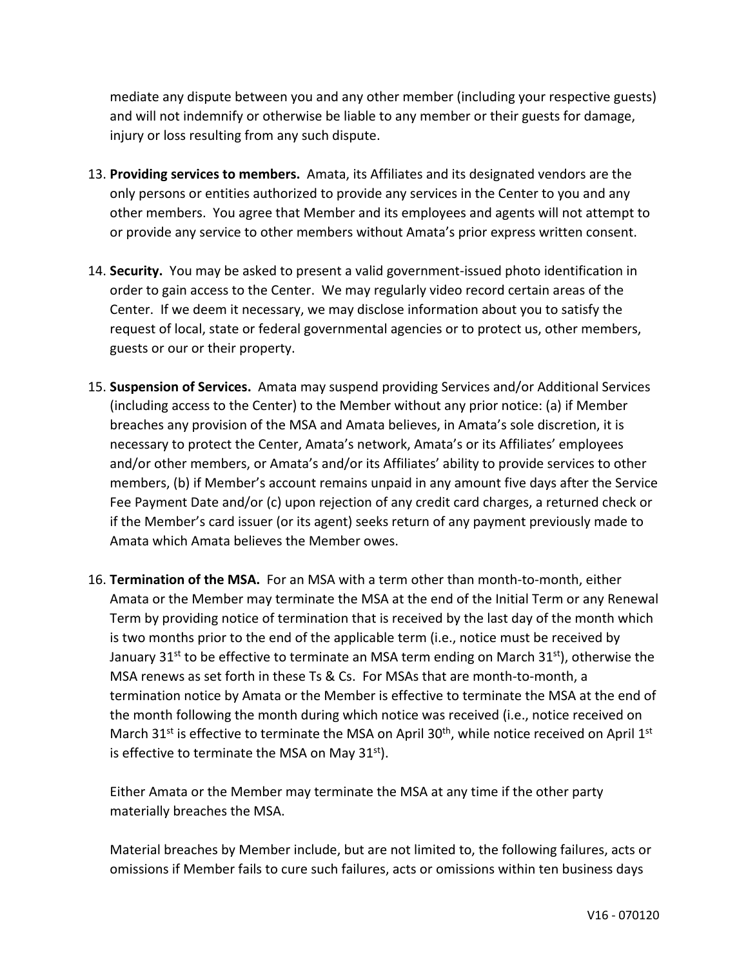mediate any dispute between you and any other member (including your respective guests) and will not indemnify or otherwise be liable to any member or their guests for damage, injury or loss resulting from any such dispute.

- 13. **Providing services to members.** Amata, its Affiliates and its designated vendors are the only persons or entities authorized to provide any services in the Center to you and any other members. You agree that Member and its employees and agents will not attempt to or provide any service to other members without Amata's prior express written consent.
- 14. **Security.** You may be asked to present a valid government-issued photo identification in order to gain access to the Center. We may regularly video record certain areas of the Center. If we deem it necessary, we may disclose information about you to satisfy the request of local, state or federal governmental agencies or to protect us, other members, guests or our or their property.
- 15. **Suspension of Services.** Amata may suspend providing Services and/or Additional Services (including access to the Center) to the Member without any prior notice: (a) if Member breaches any provision of the MSA and Amata believes, in Amata's sole discretion, it is necessary to protect the Center, Amata's network, Amata's or its Affiliates' employees and/or other members, or Amata's and/or its Affiliates' ability to provide services to other members, (b) if Member's account remains unpaid in any amount five days after the Service Fee Payment Date and/or (c) upon rejection of any credit card charges, a returned check or if the Member's card issuer (or its agent) seeks return of any payment previously made to Amata which Amata believes the Member owes.
- 16. **Termination of the MSA.** For an MSA with a term other than month-to-month, either Amata or the Member may terminate the MSA at the end of the Initial Term or any Renewal Term by providing notice of termination that is received by the last day of the month which is two months prior to the end of the applicable term (i.e., notice must be received by January 31<sup>st</sup> to be effective to terminate an MSA term ending on March 31<sup>st</sup>), otherwise the MSA renews as set forth in these Ts & Cs. For MSAs that are month-to-month, a termination notice by Amata or the Member is effective to terminate the MSA at the end of the month following the month during which notice was received (i.e., notice received on March 31<sup>st</sup> is effective to terminate the MSA on April 30<sup>th</sup>, while notice received on April 1<sup>st</sup> is effective to terminate the MSA on May  $31<sup>st</sup>$ ).

Either Amata or the Member may terminate the MSA at any time if the other party materially breaches the MSA.

Material breaches by Member include, but are not limited to, the following failures, acts or omissions if Member fails to cure such failures, acts or omissions within ten business days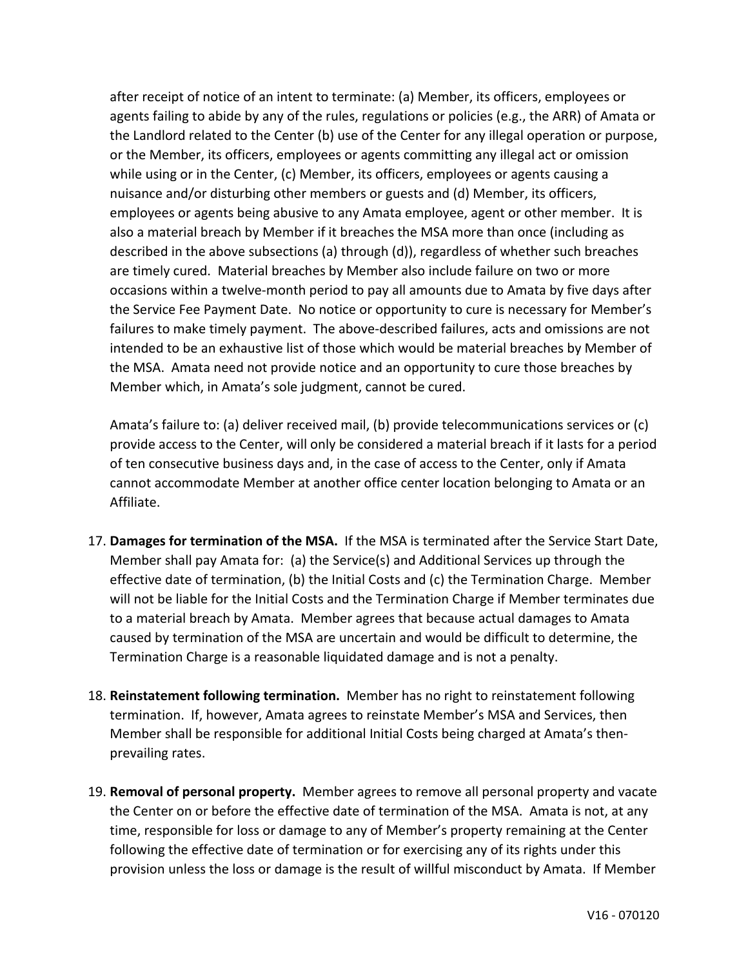after receipt of notice of an intent to terminate: (a) Member, its officers, employees or agents failing to abide by any of the rules, regulations or policies (e.g., the ARR) of Amata or the Landlord related to the Center (b) use of the Center for any illegal operation or purpose, or the Member, its officers, employees or agents committing any illegal act or omission while using or in the Center, (c) Member, its officers, employees or agents causing a nuisance and/or disturbing other members or guests and (d) Member, its officers, employees or agents being abusive to any Amata employee, agent or other member. It is also a material breach by Member if it breaches the MSA more than once (including as described in the above subsections (a) through (d)), regardless of whether such breaches are timely cured. Material breaches by Member also include failure on two or more occasions within a twelve-month period to pay all amounts due to Amata by five days after the Service Fee Payment Date. No notice or opportunity to cure is necessary for Member's failures to make timely payment. The above-described failures, acts and omissions are not intended to be an exhaustive list of those which would be material breaches by Member of the MSA. Amata need not provide notice and an opportunity to cure those breaches by Member which, in Amata's sole judgment, cannot be cured.

Amata's failure to: (a) deliver received mail, (b) provide telecommunications services or (c) provide access to the Center, will only be considered a material breach if it lasts for a period of ten consecutive business days and, in the case of access to the Center, only if Amata cannot accommodate Member at another office center location belonging to Amata or an Affiliate.

- 17. **Damages for termination of the MSA.** If the MSA is terminated after the Service Start Date, Member shall pay Amata for: (a) the Service(s) and Additional Services up through the effective date of termination, (b) the Initial Costs and (c) the Termination Charge. Member will not be liable for the Initial Costs and the Termination Charge if Member terminates due to a material breach by Amata. Member agrees that because actual damages to Amata caused by termination of the MSA are uncertain and would be difficult to determine, the Termination Charge is a reasonable liquidated damage and is not a penalty.
- 18. **Reinstatement following termination.** Member has no right to reinstatement following termination. If, however, Amata agrees to reinstate Member's MSA and Services, then Member shall be responsible for additional Initial Costs being charged at Amata's thenprevailing rates.
- 19. **Removal of personal property.** Member agrees to remove all personal property and vacate the Center on or before the effective date of termination of the MSA. Amata is not, at any time, responsible for loss or damage to any of Member's property remaining at the Center following the effective date of termination or for exercising any of its rights under this provision unless the loss or damage is the result of willful misconduct by Amata. If Member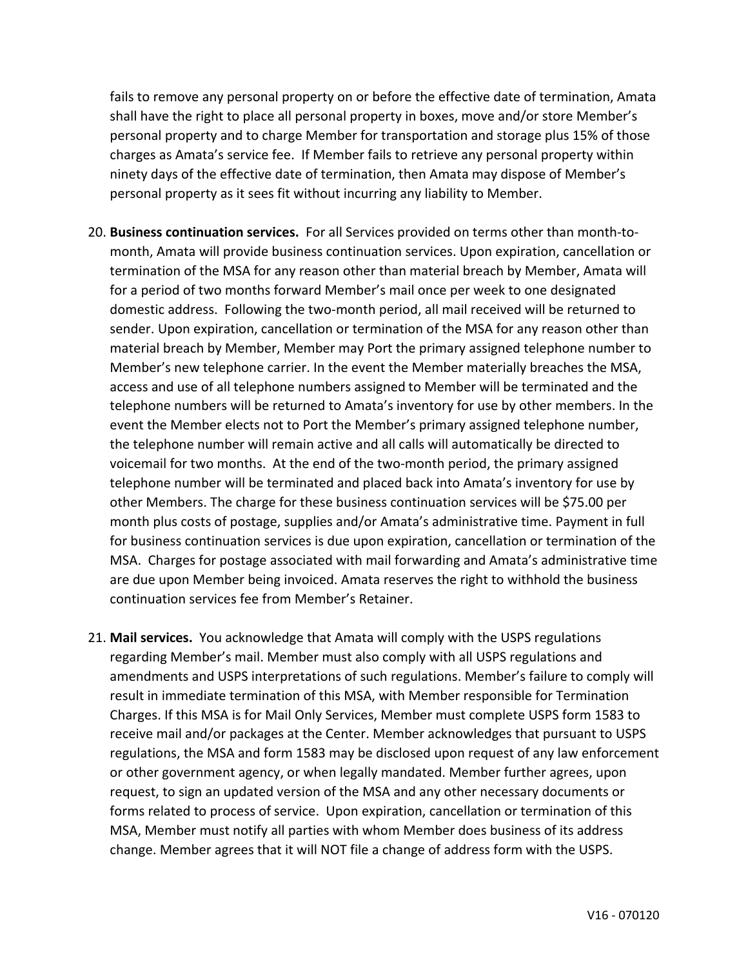fails to remove any personal property on or before the effective date of termination, Amata shall have the right to place all personal property in boxes, move and/or store Member's personal property and to charge Member for transportation and storage plus 15% of those charges as Amata's service fee. If Member fails to retrieve any personal property within ninety days of the effective date of termination, then Amata may dispose of Member's personal property as it sees fit without incurring any liability to Member.

- 20. **Business continuation services.** For all Services provided on terms other than month-tomonth, Amata will provide business continuation services. Upon expiration, cancellation or termination of the MSA for any reason other than material breach by Member, Amata will for a period of two months forward Member's mail once per week to one designated domestic address. Following the two-month period, all mail received will be returned to sender. Upon expiration, cancellation or termination of the MSA for any reason other than material breach by Member, Member may Port the primary assigned telephone number to Member's new telephone carrier. In the event the Member materially breaches the MSA, access and use of all telephone numbers assigned to Member will be terminated and the telephone numbers will be returned to Amata's inventory for use by other members. In the event the Member elects not to Port the Member's primary assigned telephone number, the telephone number will remain active and all calls will automatically be directed to voicemail for two months. At the end of the two-month period, the primary assigned telephone number will be terminated and placed back into Amata's inventory for use by other Members. The charge for these business continuation services will be \$75.00 per month plus costs of postage, supplies and/or Amata's administrative time. Payment in full for business continuation services is due upon expiration, cancellation or termination of the MSA. Charges for postage associated with mail forwarding and Amata's administrative time are due upon Member being invoiced. Amata reserves the right to withhold the business continuation services fee from Member's Retainer.
- 21. **Mail services.** You acknowledge that Amata will comply with the USPS regulations regarding Member's mail. Member must also comply with all USPS regulations and amendments and USPS interpretations of such regulations. Member's failure to comply will result in immediate termination of this MSA, with Member responsible for Termination Charges. If this MSA is for Mail Only Services, Member must complete USPS form 1583 to receive mail and/or packages at the Center. Member acknowledges that pursuant to USPS regulations, the MSA and form 1583 may be disclosed upon request of any law enforcement or other government agency, or when legally mandated. Member further agrees, upon request, to sign an updated version of the MSA and any other necessary documents or forms related to process of service. Upon expiration, cancellation or termination of this MSA, Member must notify all parties with whom Member does business of its address change. Member agrees that it will NOT file a change of address form with the USPS.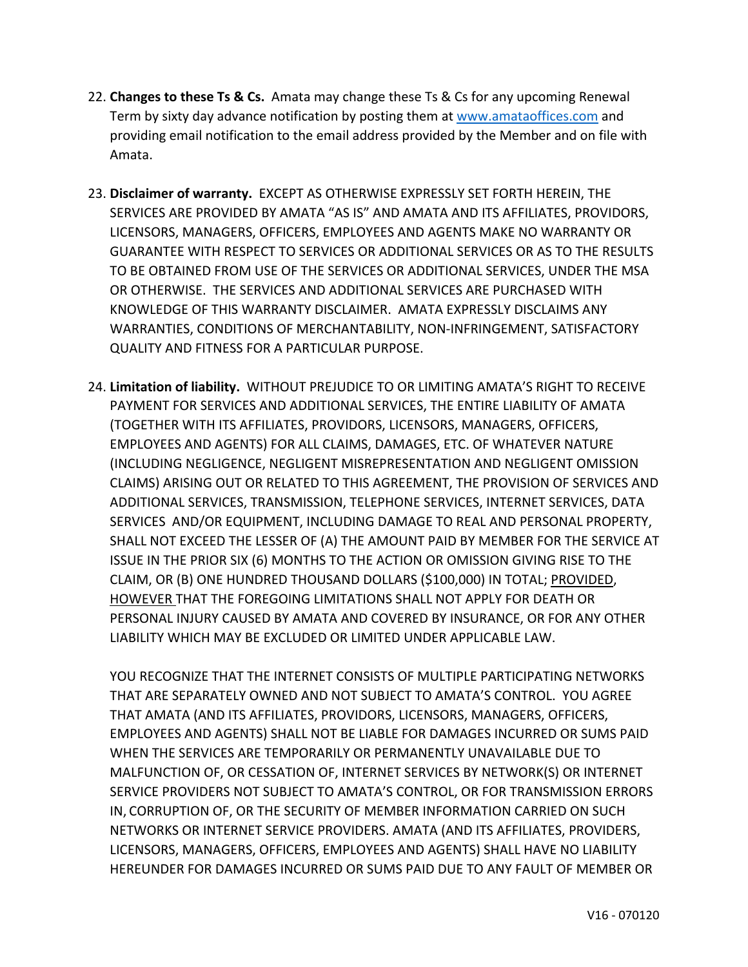- 22. **Changes to these Ts & Cs.** Amata may change these Ts & Cs for any upcoming Renewal Term by sixty day advance notification by posting them at [www.amataoffices.com](http://www.amataoffices.com/) and providing email notification to the email address provided by the Member and on file with Amata.
- 23. **Disclaimer of warranty.** EXCEPT AS OTHERWISE EXPRESSLY SET FORTH HEREIN, THE SERVICES ARE PROVIDED BY AMATA "AS IS" AND AMATA AND ITS AFFILIATES, PROVIDORS, LICENSORS, MANAGERS, OFFICERS, EMPLOYEES AND AGENTS MAKE NO WARRANTY OR GUARANTEE WITH RESPECT TO SERVICES OR ADDITIONAL SERVICES OR AS TO THE RESULTS TO BE OBTAINED FROM USE OF THE SERVICES OR ADDITIONAL SERVICES, UNDER THE MSA OR OTHERWISE. THE SERVICES AND ADDITIONAL SERVICES ARE PURCHASED WITH KNOWLEDGE OF THIS WARRANTY DISCLAIMER. AMATA EXPRESSLY DISCLAIMS ANY WARRANTIES, CONDITIONS OF MERCHANTABILITY, NON-INFRINGEMENT, SATISFACTORY QUALITY AND FITNESS FOR A PARTICULAR PURPOSE.
- 24. **Limitation of liability.** WITHOUT PREJUDICE TO OR LIMITING AMATA'S RIGHT TO RECEIVE PAYMENT FOR SERVICES AND ADDITIONAL SERVICES, THE ENTIRE LIABILITY OF AMATA (TOGETHER WITH ITS AFFILIATES, PROVIDORS, LICENSORS, MANAGERS, OFFICERS, EMPLOYEES AND AGENTS) FOR ALL CLAIMS, DAMAGES, ETC. OF WHATEVER NATURE (INCLUDING NEGLIGENCE, NEGLIGENT MISREPRESENTATION AND NEGLIGENT OMISSION CLAIMS) ARISING OUT OR RELATED TO THIS AGREEMENT, THE PROVISION OF SERVICES AND ADDITIONAL SERVICES, TRANSMISSION, TELEPHONE SERVICES, INTERNET SERVICES, DATA SERVICES AND/OR EQUIPMENT, INCLUDING DAMAGE TO REAL AND PERSONAL PROPERTY, SHALL NOT EXCEED THE LESSER OF (A) THE AMOUNT PAID BY MEMBER FOR THE SERVICE AT ISSUE IN THE PRIOR SIX (6) MONTHS TO THE ACTION OR OMISSION GIVING RISE TO THE CLAIM, OR (B) ONE HUNDRED THOUSAND DOLLARS (\$100,000) IN TOTAL; PROVIDED, HOWEVER THAT THE FOREGOING LIMITATIONS SHALL NOT APPLY FOR DEATH OR PERSONAL INJURY CAUSED BY AMATA AND COVERED BY INSURANCE, OR FOR ANY OTHER LIABILITY WHICH MAY BE EXCLUDED OR LIMITED UNDER APPLICABLE LAW.

YOU RECOGNIZE THAT THE INTERNET CONSISTS OF MULTIPLE PARTICIPATING NETWORKS THAT ARE SEPARATELY OWNED AND NOT SUBJECT TO AMATA'S CONTROL. YOU AGREE THAT AMATA (AND ITS AFFILIATES, PROVIDORS, LICENSORS, MANAGERS, OFFICERS, EMPLOYEES AND AGENTS) SHALL NOT BE LIABLE FOR DAMAGES INCURRED OR SUMS PAID WHEN THE SERVICES ARE TEMPORARILY OR PERMANENTLY UNAVAILABLE DUE TO MALFUNCTION OF, OR CESSATION OF, INTERNET SERVICES BY NETWORK(S) OR INTERNET SERVICE PROVIDERS NOT SUBJECT TO AMATA'S CONTROL, OR FOR TRANSMISSION ERRORS IN, CORRUPTION OF, OR THE SECURITY OF MEMBER INFORMATION CARRIED ON SUCH NETWORKS OR INTERNET SERVICE PROVIDERS. AMATA (AND ITS AFFILIATES, PROVIDERS, LICENSORS, MANAGERS, OFFICERS, EMPLOYEES AND AGENTS) SHALL HAVE NO LIABILITY HEREUNDER FOR DAMAGES INCURRED OR SUMS PAID DUE TO ANY FAULT OF MEMBER OR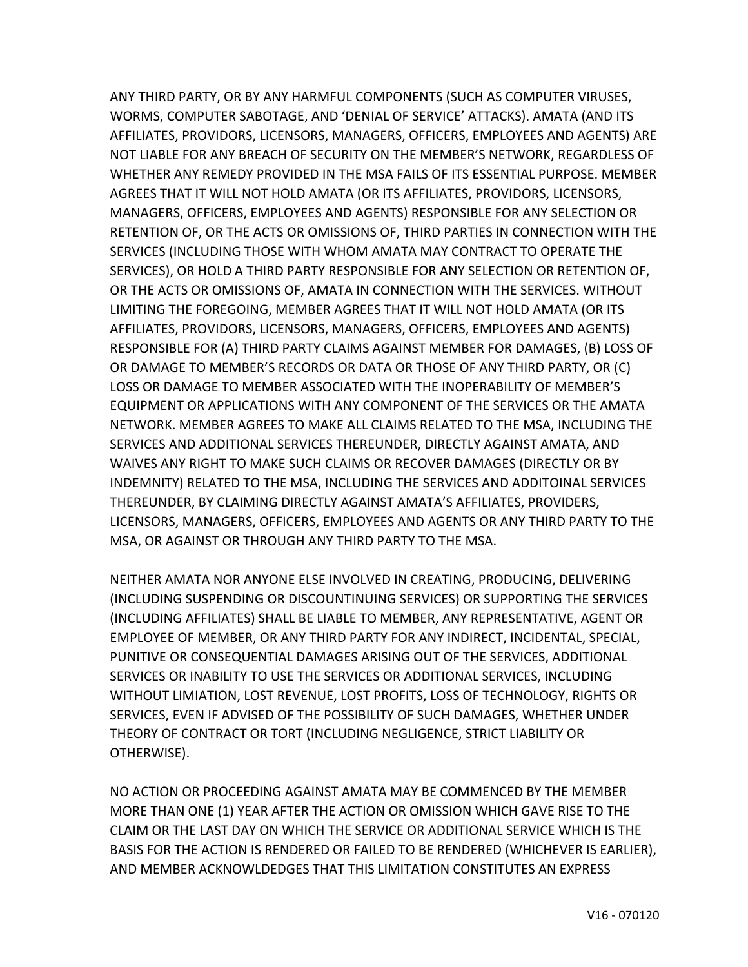ANY THIRD PARTY, OR BY ANY HARMFUL COMPONENTS (SUCH AS COMPUTER VIRUSES, WORMS, COMPUTER SABOTAGE, AND 'DENIAL OF SERVICE' ATTACKS). AMATA (AND ITS AFFILIATES, PROVIDORS, LICENSORS, MANAGERS, OFFICERS, EMPLOYEES AND AGENTS) ARE NOT LIABLE FOR ANY BREACH OF SECURITY ON THE MEMBER'S NETWORK, REGARDLESS OF WHETHER ANY REMEDY PROVIDED IN THE MSA FAILS OF ITS ESSENTIAL PURPOSE. MEMBER AGREES THAT IT WILL NOT HOLD AMATA (OR ITS AFFILIATES, PROVIDORS, LICENSORS, MANAGERS, OFFICERS, EMPLOYEES AND AGENTS) RESPONSIBLE FOR ANY SELECTION OR RETENTION OF, OR THE ACTS OR OMISSIONS OF, THIRD PARTIES IN CONNECTION WITH THE SERVICES (INCLUDING THOSE WITH WHOM AMATA MAY CONTRACT TO OPERATE THE SERVICES), OR HOLD A THIRD PARTY RESPONSIBLE FOR ANY SELECTION OR RETENTION OF, OR THE ACTS OR OMISSIONS OF, AMATA IN CONNECTION WITH THE SERVICES. WITHOUT LIMITING THE FOREGOING, MEMBER AGREES THAT IT WILL NOT HOLD AMATA (OR ITS AFFILIATES, PROVIDORS, LICENSORS, MANAGERS, OFFICERS, EMPLOYEES AND AGENTS) RESPONSIBLE FOR (A) THIRD PARTY CLAIMS AGAINST MEMBER FOR DAMAGES, (B) LOSS OF OR DAMAGE TO MEMBER'S RECORDS OR DATA OR THOSE OF ANY THIRD PARTY, OR (C) LOSS OR DAMAGE TO MEMBER ASSOCIATED WITH THE INOPERABILITY OF MEMBER'S EQUIPMENT OR APPLICATIONS WITH ANY COMPONENT OF THE SERVICES OR THE AMATA NETWORK. MEMBER AGREES TO MAKE ALL CLAIMS RELATED TO THE MSA, INCLUDING THE SERVICES AND ADDITIONAL SERVICES THEREUNDER, DIRECTLY AGAINST AMATA, AND WAIVES ANY RIGHT TO MAKE SUCH CLAIMS OR RECOVER DAMAGES (DIRECTLY OR BY INDEMNITY) RELATED TO THE MSA, INCLUDING THE SERVICES AND ADDITOINAL SERVICES THEREUNDER, BY CLAIMING DIRECTLY AGAINST AMATA'S AFFILIATES, PROVIDERS, LICENSORS, MANAGERS, OFFICERS, EMPLOYEES AND AGENTS OR ANY THIRD PARTY TO THE MSA, OR AGAINST OR THROUGH ANY THIRD PARTY TO THE MSA.

NEITHER AMATA NOR ANYONE ELSE INVOLVED IN CREATING, PRODUCING, DELIVERING (INCLUDING SUSPENDING OR DISCOUNTINUING SERVICES) OR SUPPORTING THE SERVICES (INCLUDING AFFILIATES) SHALL BE LIABLE TO MEMBER, ANY REPRESENTATIVE, AGENT OR EMPLOYEE OF MEMBER, OR ANY THIRD PARTY FOR ANY INDIRECT, INCIDENTAL, SPECIAL, PUNITIVE OR CONSEQUENTIAL DAMAGES ARISING OUT OF THE SERVICES, ADDITIONAL SERVICES OR INABILITY TO USE THE SERVICES OR ADDITIONAL SERVICES, INCLUDING WITHOUT LIMIATION, LOST REVENUE, LOST PROFITS, LOSS OF TECHNOLOGY, RIGHTS OR SERVICES, EVEN IF ADVISED OF THE POSSIBILITY OF SUCH DAMAGES, WHETHER UNDER THEORY OF CONTRACT OR TORT (INCLUDING NEGLIGENCE, STRICT LIABILITY OR OTHERWISE).

NO ACTION OR PROCEEDING AGAINST AMATA MAY BE COMMENCED BY THE MEMBER MORE THAN ONE (1) YEAR AFTER THE ACTION OR OMISSION WHICH GAVE RISE TO THE CLAIM OR THE LAST DAY ON WHICH THE SERVICE OR ADDITIONAL SERVICE WHICH IS THE BASIS FOR THE ACTION IS RENDERED OR FAILED TO BE RENDERED (WHICHEVER IS EARLIER), AND MEMBER ACKNOWLDEDGES THAT THIS LIMITATION CONSTITUTES AN EXPRESS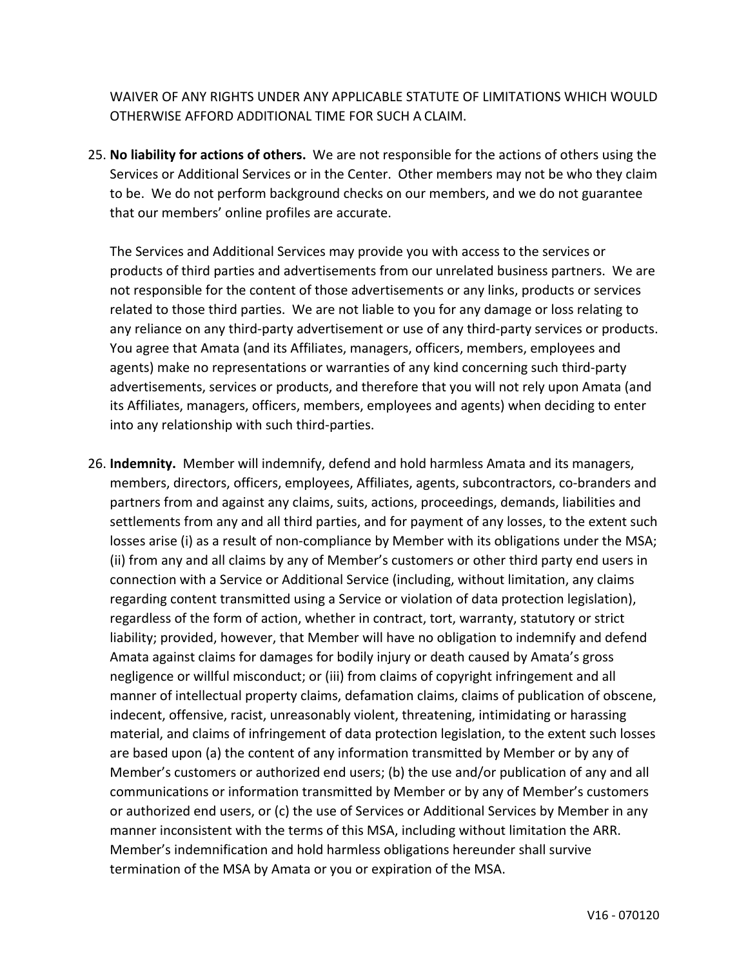WAIVER OF ANY RIGHTS UNDER ANY APPLICABLE STATUTE OF LIMITATIONS WHICH WOULD OTHERWISE AFFORD ADDITIONAL TIME FOR SUCH A CLAIM.

25. **No liability for actions of others.** We are not responsible for the actions of others using the Services or Additional Services or in the Center. Other members may not be who they claim to be. We do not perform background checks on our members, and we do not guarantee that our members' online profiles are accurate.

The Services and Additional Services may provide you with access to the services or products of third parties and advertisements from our unrelated business partners. We are not responsible for the content of those advertisements or any links, products or services related to those third parties. We are not liable to you for any damage or loss relating to any reliance on any third-party advertisement or use of any third-party services or products. You agree that Amata (and its Affiliates, managers, officers, members, employees and agents) make no representations or warranties of any kind concerning such third-party advertisements, services or products, and therefore that you will not rely upon Amata (and its Affiliates, managers, officers, members, employees and agents) when deciding to enter into any relationship with such third-parties.

26. **Indemnity.** Member will indemnify, defend and hold harmless Amata and its managers, members, directors, officers, employees, Affiliates, agents, subcontractors, co-branders and partners from and against any claims, suits, actions, proceedings, demands, liabilities and settlements from any and all third parties, and for payment of any losses, to the extent such losses arise (i) as a result of non-compliance by Member with its obligations under the MSA; (ii) from any and all claims by any of Member's customers or other third party end users in connection with a Service or Additional Service (including, without limitation, any claims regarding content transmitted using a Service or violation of data protection legislation), regardless of the form of action, whether in contract, tort, warranty, statutory or strict liability; provided, however, that Member will have no obligation to indemnify and defend Amata against claims for damages for bodily injury or death caused by Amata's gross negligence or willful misconduct; or (iii) from claims of copyright infringement and all manner of intellectual property claims, defamation claims, claims of publication of obscene, indecent, offensive, racist, unreasonably violent, threatening, intimidating or harassing material, and claims of infringement of data protection legislation, to the extent such losses are based upon (a) the content of any information transmitted by Member or by any of Member's customers or authorized end users; (b) the use and/or publication of any and all communications or information transmitted by Member or by any of Member's customers or authorized end users, or (c) the use of Services or Additional Services by Member in any manner inconsistent with the terms of this MSA, including without limitation the ARR. Member's indemnification and hold harmless obligations hereunder shall survive termination of the MSA by Amata or you or expiration of the MSA.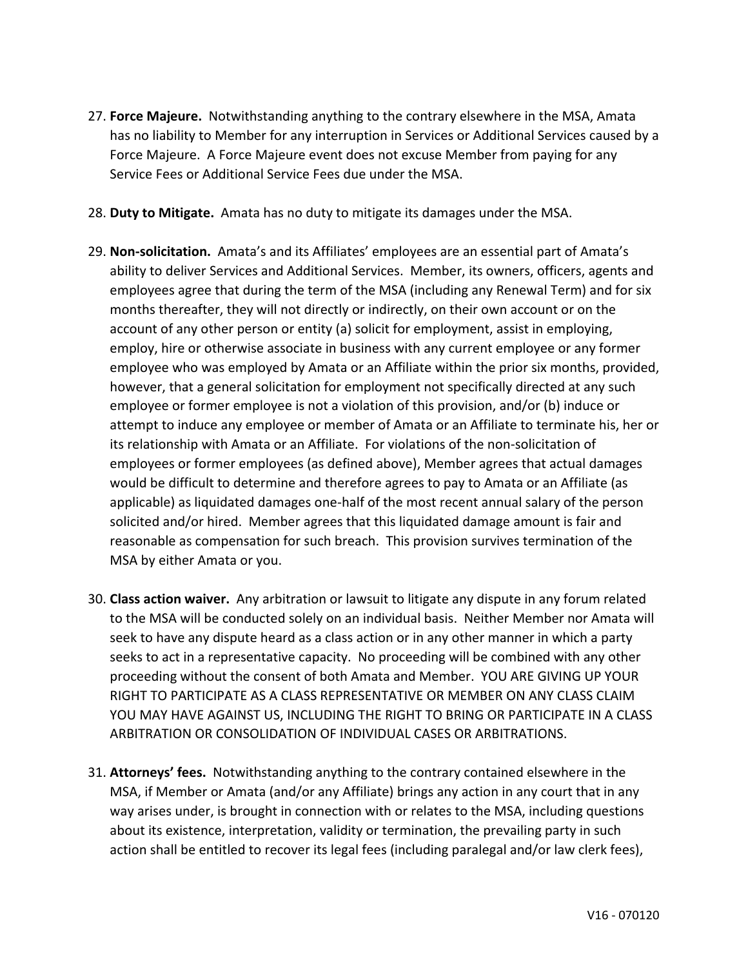- 27. **Force Majeure.** Notwithstanding anything to the contrary elsewhere in the MSA, Amata has no liability to Member for any interruption in Services or Additional Services caused by a Force Majeure. A Force Majeure event does not excuse Member from paying for any Service Fees or Additional Service Fees due under the MSA.
- 28. **Duty to Mitigate.** Amata has no duty to mitigate its damages under the MSA.
- 29. **Non-solicitation.** Amata's and its Affiliates' employees are an essential part of Amata's ability to deliver Services and Additional Services. Member, its owners, officers, agents and employees agree that during the term of the MSA (including any Renewal Term) and for six months thereafter, they will not directly or indirectly, on their own account or on the account of any other person or entity (a) solicit for employment, assist in employing, employ, hire or otherwise associate in business with any current employee or any former employee who was employed by Amata or an Affiliate within the prior six months, provided, however, that a general solicitation for employment not specifically directed at any such employee or former employee is not a violation of this provision, and/or (b) induce or attempt to induce any employee or member of Amata or an Affiliate to terminate his, her or its relationship with Amata or an Affiliate. For violations of the non-solicitation of employees or former employees (as defined above), Member agrees that actual damages would be difficult to determine and therefore agrees to pay to Amata or an Affiliate (as applicable) as liquidated damages one-half of the most recent annual salary of the person solicited and/or hired. Member agrees that this liquidated damage amount is fair and reasonable as compensation for such breach. This provision survives termination of the MSA by either Amata or you.
- 30. **Class action waiver.** Any arbitration or lawsuit to litigate any dispute in any forum related to the MSA will be conducted solely on an individual basis. Neither Member nor Amata will seek to have any dispute heard as a class action or in any other manner in which a party seeks to act in a representative capacity. No proceeding will be combined with any other proceeding without the consent of both Amata and Member. YOU ARE GIVING UP YOUR RIGHT TO PARTICIPATE AS A CLASS REPRESENTATIVE OR MEMBER ON ANY CLASS CLAIM YOU MAY HAVE AGAINST US, INCLUDING THE RIGHT TO BRING OR PARTICIPATE IN A CLASS ARBITRATION OR CONSOLIDATION OF INDIVIDUAL CASES OR ARBITRATIONS.
- 31. **Attorneys' fees.** Notwithstanding anything to the contrary contained elsewhere in the MSA, if Member or Amata (and/or any Affiliate) brings any action in any court that in any way arises under, is brought in connection with or relates to the MSA, including questions about its existence, interpretation, validity or termination, the prevailing party in such action shall be entitled to recover its legal fees (including paralegal and/or law clerk fees),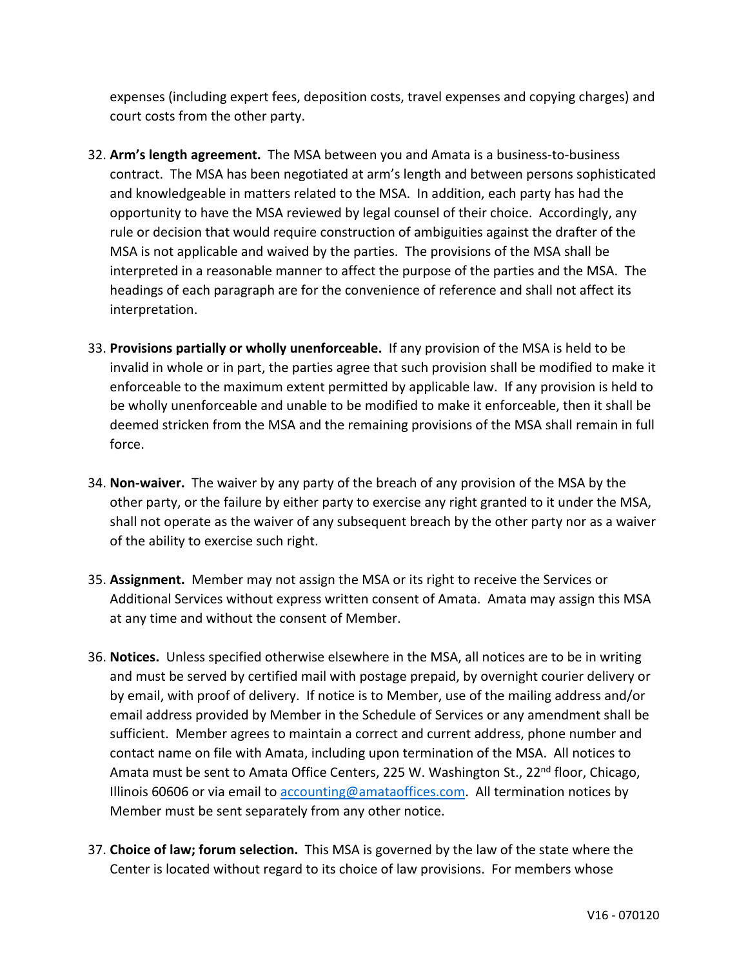expenses (including expert fees, deposition costs, travel expenses and copying charges) and court costs from the other party.

- 32. **Arm's length agreement.** The MSA between you and Amata is a business-to-business contract. The MSA has been negotiated at arm's length and between persons sophisticated and knowledgeable in matters related to the MSA. In addition, each party has had the opportunity to have the MSA reviewed by legal counsel of their choice. Accordingly, any rule or decision that would require construction of ambiguities against the drafter of the MSA is not applicable and waived by the parties. The provisions of the MSA shall be interpreted in a reasonable manner to affect the purpose of the parties and the MSA. The headings of each paragraph are for the convenience of reference and shall not affect its interpretation.
- 33. **Provisions partially or wholly unenforceable.** If any provision of the MSA is held to be invalid in whole or in part, the parties agree that such provision shall be modified to make it enforceable to the maximum extent permitted by applicable law. If any provision is held to be wholly unenforceable and unable to be modified to make it enforceable, then it shall be deemed stricken from the MSA and the remaining provisions of the MSA shall remain in full force.
- 34. **Non-waiver.** The waiver by any party of the breach of any provision of the MSA by the other party, or the failure by either party to exercise any right granted to it under the MSA, shall not operate as the waiver of any subsequent breach by the other party nor as a waiver of the ability to exercise such right.
- 35. **Assignment.** Member may not assign the MSA or its right to receive the Services or Additional Services without express written consent of Amata. Amata may assign this MSA at any time and without the consent of Member.
- 36. **Notices.** Unless specified otherwise elsewhere in the MSA, all notices are to be in writing and must be served by certified mail with postage prepaid, by overnight courier delivery or by email, with proof of delivery. If notice is to Member, use of the mailing address and/or email address provided by Member in the Schedule of Services or any amendment shall be sufficient. Member agrees to maintain a correct and current address, phone number and contact name on file with Amata, including upon termination of the MSA. All notices to Amata must be sent to Amata Office Centers, 225 W. Washington St., 22<sup>nd</sup> floor, Chicago, Illinois 60606 or via email to [accounting@amataoffices.com.](mailto:accounting@amataoffices.com) All termination notices by Member must be sent separately from any other notice.
- 37. **Choice of law; forum selection.** This MSA is governed by the law of the state where the Center is located without regard to its choice of law provisions. For members whose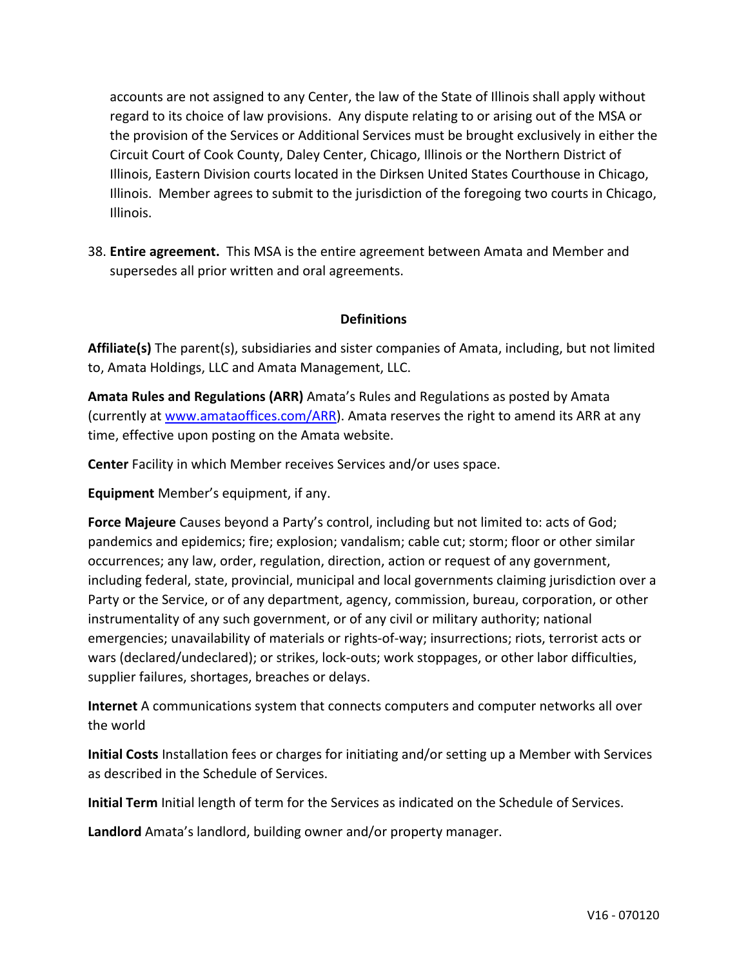accounts are not assigned to any Center, the law of the State of Illinois shall apply without regard to its choice of law provisions. Any dispute relating to or arising out of the MSA or the provision of the Services or Additional Services must be brought exclusively in either the Circuit Court of Cook County, Daley Center, Chicago, Illinois or the Northern District of Illinois, Eastern Division courts located in the Dirksen United States Courthouse in Chicago, Illinois. Member agrees to submit to the jurisdiction of the foregoing two courts in Chicago, Illinois.

38. **Entire agreement.** This MSA is the entire agreement between Amata and Member and supersedes all prior written and oral agreements.

## **Definitions**

**Affiliate(s)** The parent(s), subsidiaries and sister companies of Amata, including, but not limited to, Amata Holdings, LLC and Amata Management, LLC.

**Amata Rules and Regulations (ARR)** Amata's Rules and Regulations as posted by Amata (currently at [www.amataoffices.com/ARR\)](http://www.amataoffices.com/ARR). Amata reserves the right to amend its ARR at any time, effective upon posting on the Amata website.

**Center** Facility in which Member receives Services and/or uses space.

**Equipment** Member's equipment, if any.

**Force Majeure** Causes beyond a Party's control, including but not limited to: acts of God; pandemics and epidemics; fire; explosion; vandalism; cable cut; storm; floor or other similar occurrences; any law, order, regulation, direction, action or request of any government, including federal, state, provincial, municipal and local governments claiming jurisdiction over a Party or the Service, or of any department, agency, commission, bureau, corporation, or other instrumentality of any such government, or of any civil or military authority; national emergencies; unavailability of materials or rights-of-way; insurrections; riots, terrorist acts or wars (declared/undeclared); or strikes, lock-outs; work stoppages, or other labor difficulties, supplier failures, shortages, breaches or delays.

**Internet** A communications system that connects computers and computer networks all over the world

**Initial Costs** Installation fees or charges for initiating and/or setting up a Member with Services as described in the Schedule of Services.

**Initial Term** Initial length of term for the Services as indicated on the Schedule of Services.

**Landlord** Amata's landlord, building owner and/or property manager.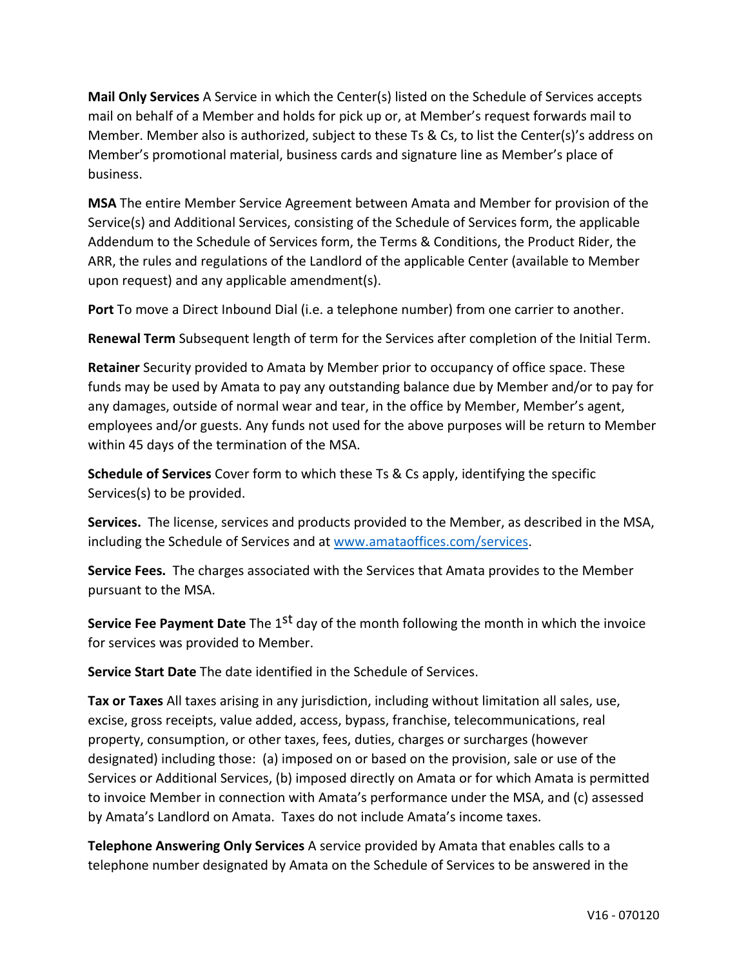**Mail Only Services** A Service in which the Center(s) listed on the Schedule of Services accepts mail on behalf of a Member and holds for pick up or, at Member's request forwards mail to Member. Member also is authorized, subject to these Ts & Cs, to list the Center(s)'s address on Member's promotional material, business cards and signature line as Member's place of business.

**MSA** The entire Member Service Agreement between Amata and Member for provision of the Service(s) and Additional Services, consisting of the Schedule of Services form, the applicable Addendum to the Schedule of Services form, the Terms & Conditions, the Product Rider, the ARR, the rules and regulations of the Landlord of the applicable Center (available to Member upon request) and any applicable amendment(s).

**Port** To move a Direct Inbound Dial (i.e. a telephone number) from one carrier to another.

**Renewal Term** Subsequent length of term for the Services after completion of the Initial Term.

**Retainer** Security provided to Amata by Member prior to occupancy of office space. These funds may be used by Amata to pay any outstanding balance due by Member and/or to pay for any damages, outside of normal wear and tear, in the office by Member, Member's agent, employees and/or guests. Any funds not used for the above purposes will be return to Member within 45 days of the termination of the MSA.

**Schedule of Services** Cover form to which these Ts & Cs apply, identifying the specific Services(s) to be provided.

**Services.** The license, services and products provided to the Member, as described in the MSA, including the Schedule of Services and at [www.amataoffices.com/services.](http://www.amataoffices.com/services)

**Service Fees.** The charges associated with the Services that Amata provides to the Member pursuant to the MSA.

**Service Fee Payment Date** The 1<sup>st</sup> day of the month following the month in which the invoice for services was provided to Member.

**Service Start Date** The date identified in the Schedule of Services.

**Tax or Taxes** All taxes arising in any jurisdiction, including without limitation all sales, use, excise, gross receipts, value added, access, bypass, franchise, telecommunications, real property, consumption, or other taxes, fees, duties, charges or surcharges (however designated) including those: (a) imposed on or based on the provision, sale or use of the Services or Additional Services, (b) imposed directly on Amata or for which Amata is permitted to invoice Member in connection with Amata's performance under the MSA, and (c) assessed by Amata's Landlord on Amata. Taxes do not include Amata's income taxes.

**Telephone Answering Only Services** A service provided by Amata that enables calls to a telephone number designated by Amata on the Schedule of Services to be answered in the